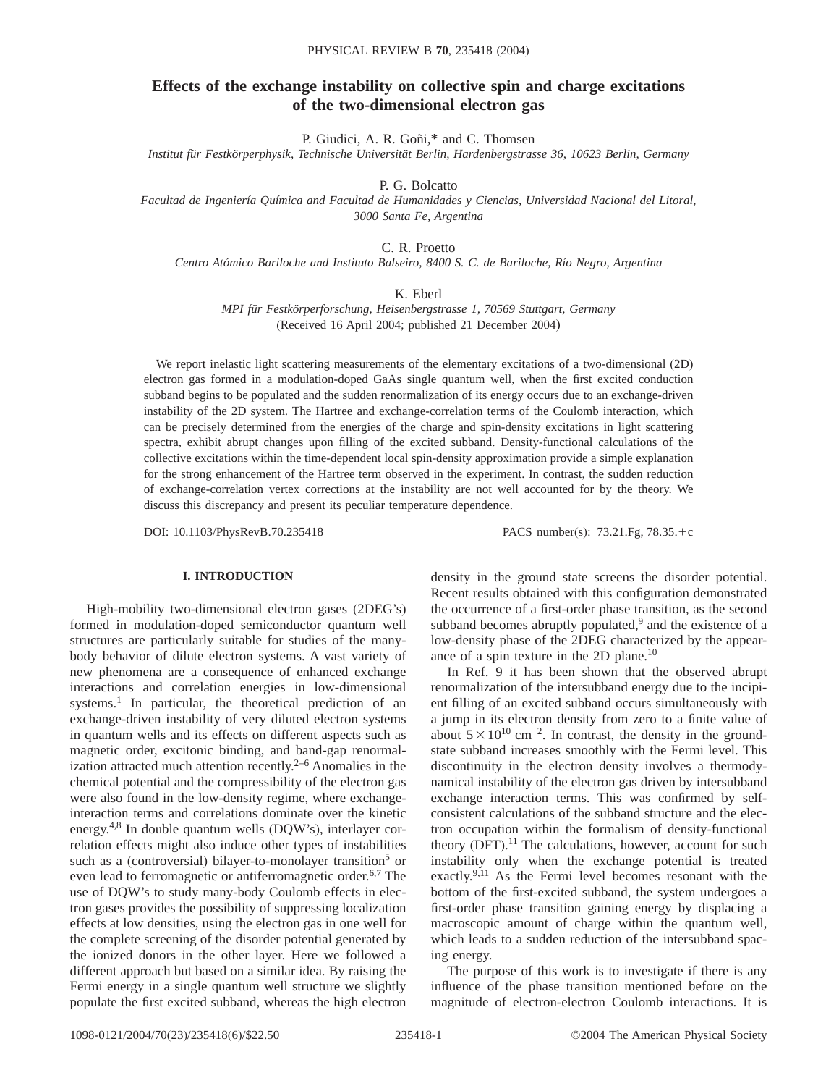# **Effects of the exchange instability on collective spin and charge excitations of the two-dimensional electron gas**

P. Giudici, A. R. Goñi,\* and C. Thomsen

*Institut für Festkörperphysik, Technische Universität Berlin, Hardenbergstrasse 36, 10623 Berlin, Germany*

P. G. Bolcatto

*Facultad de Ingeniería Química and Facultad de Humanidades y Ciencias, Universidad Nacional del Litoral, 3000 Santa Fe, Argentina*

C. R. Proetto

*Centro Atómico Bariloche and Instituto Balseiro, 8400 S. C. de Bariloche, Río Negro, Argentina*

K. Eberl

*MPI für Festkörperforschung, Heisenbergstrasse 1, 70569 Stuttgart, Germany* (Received 16 April 2004; published 21 December 2004)

We report inelastic light scattering measurements of the elementary excitations of a two-dimensional (2D) electron gas formed in a modulation-doped GaAs single quantum well, when the first excited conduction subband begins to be populated and the sudden renormalization of its energy occurs due to an exchange-driven instability of the 2D system. The Hartree and exchange-correlation terms of the Coulomb interaction, which can be precisely determined from the energies of the charge and spin-density excitations in light scattering spectra, exhibit abrupt changes upon filling of the excited subband. Density-functional calculations of the collective excitations within the time-dependent local spin-density approximation provide a simple explanation for the strong enhancement of the Hartree term observed in the experiment. In contrast, the sudden reduction of exchange-correlation vertex corrections at the instability are not well accounted for by the theory. We discuss this discrepancy and present its peculiar temperature dependence.

DOI: 10.1103/PhysRevB.70.235418 PACS number(s): 73.21.Fg, 78.35.+c

## **I. INTRODUCTION**

High-mobility two-dimensional electron gases (2DEG's) formed in modulation-doped semiconductor quantum well structures are particularly suitable for studies of the manybody behavior of dilute electron systems. A vast variety of new phenomena are a consequence of enhanced exchange interactions and correlation energies in low-dimensional systems.<sup>1</sup> In particular, the theoretical prediction of an exchange-driven instability of very diluted electron systems in quantum wells and its effects on different aspects such as magnetic order, excitonic binding, and band-gap renormalization attracted much attention recently. $2-6$  Anomalies in the chemical potential and the compressibility of the electron gas were also found in the low-density regime, where exchangeinteraction terms and correlations dominate over the kinetic energy.4,8 In double quantum wells (DQW's), interlayer correlation effects might also induce other types of instabilities such as a (controversial) bilayer-to-monolayer transition<sup>5</sup> or even lead to ferromagnetic or antiferromagnetic order.<sup>6,7</sup> The use of DQW's to study many-body Coulomb effects in electron gases provides the possibility of suppressing localization effects at low densities, using the electron gas in one well for the complete screening of the disorder potential generated by the ionized donors in the other layer. Here we followed a different approach but based on a similar idea. By raising the Fermi energy in a single quantum well structure we slightly populate the first excited subband, whereas the high electron density in the ground state screens the disorder potential. Recent results obtained with this configuration demonstrated the occurrence of a first-order phase transition, as the second subband becomes abruptly populated, $9$  and the existence of a low-density phase of the 2DEG characterized by the appearance of a spin texture in the 2D plane.<sup>10</sup>

In Ref. 9 it has been shown that the observed abrupt renormalization of the intersubband energy due to the incipient filling of an excited subband occurs simultaneously with a jump in its electron density from zero to a finite value of about  $5 \times 10^{10}$  cm<sup>-2</sup>. In contrast, the density in the groundstate subband increases smoothly with the Fermi level. This discontinuity in the electron density involves a thermodynamical instability of the electron gas driven by intersubband exchange interaction terms. This was confirmed by selfconsistent calculations of the subband structure and the electron occupation within the formalism of density-functional theory (DFT).<sup>11</sup> The calculations, however, account for such instability only when the exchange potential is treated exactly.<sup>9,11</sup> As the Fermi level becomes resonant with the bottom of the first-excited subband, the system undergoes a first-order phase transition gaining energy by displacing a macroscopic amount of charge within the quantum well, which leads to a sudden reduction of the intersubband spacing energy.

The purpose of this work is to investigate if there is any influence of the phase transition mentioned before on the magnitude of electron-electron Coulomb interactions. It is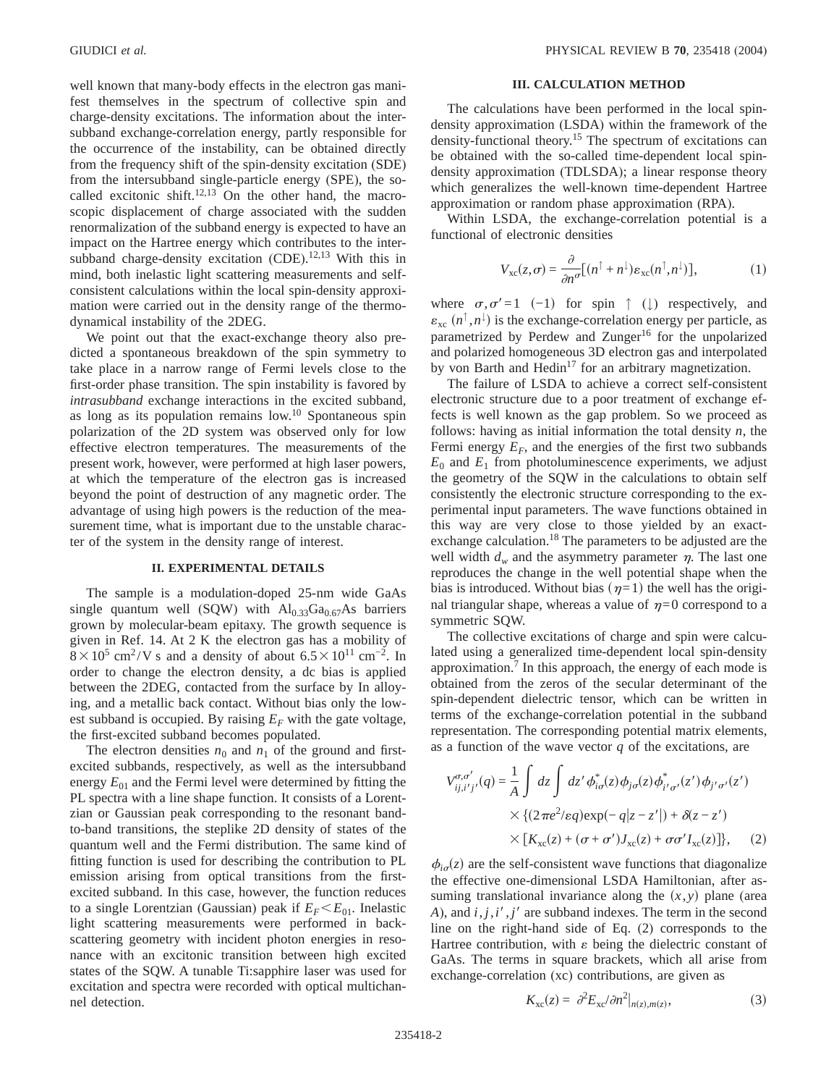well known that many-body effects in the electron gas manifest themselves in the spectrum of collective spin and charge-density excitations. The information about the intersubband exchange-correlation energy, partly responsible for the occurrence of the instability, can be obtained directly from the frequency shift of the spin-density excitation (SDE) from the intersubband single-particle energy (SPE), the socalled excitonic shift.<sup>12,13</sup> On the other hand, the macroscopic displacement of charge associated with the sudden renormalization of the subband energy is expected to have an impact on the Hartree energy which contributes to the intersubband charge-density excitation (CDE).<sup>12,13</sup> With this in mind, both inelastic light scattering measurements and selfconsistent calculations within the local spin-density approximation were carried out in the density range of the thermodynamical instability of the 2DEG.

We point out that the exact-exchange theory also predicted a spontaneous breakdown of the spin symmetry to take place in a narrow range of Fermi levels close to the first-order phase transition. The spin instability is favored by *intrasubband* exchange interactions in the excited subband, as long as its population remains  $low.^{10}$  Spontaneous spin polarization of the 2D system was observed only for low effective electron temperatures. The measurements of the present work, however, were performed at high laser powers, at which the temperature of the electron gas is increased beyond the point of destruction of any magnetic order. The advantage of using high powers is the reduction of the measurement time, what is important due to the unstable character of the system in the density range of interest.

## **II. EXPERIMENTAL DETAILS**

The sample is a modulation-doped 25-nm wide GaAs single quantum well (SQW) with  $Al_{0.33}Ga_{0.67}As$  barriers grown by molecular-beam epitaxy. The growth sequence is given in Ref. 14. At 2 K the electron gas has a mobility of  $8 \times 10^5$  cm<sup>2</sup>/V s and a density of about 6.5 × 10<sup>11</sup> cm<sup>-2</sup>. In order to change the electron density, a dc bias is applied between the 2DEG, contacted from the surface by In alloying, and a metallic back contact. Without bias only the lowest subband is occupied. By raising  $E_F$  with the gate voltage, the first-excited subband becomes populated.

The electron densities  $n_0$  and  $n_1$  of the ground and firstexcited subbands, respectively, as well as the intersubband energy  $E_{01}$  and the Fermi level were determined by fitting the PL spectra with a line shape function. It consists of a Lorentzian or Gaussian peak corresponding to the resonant bandto-band transitions, the steplike 2D density of states of the quantum well and the Fermi distribution. The same kind of fitting function is used for describing the contribution to PL emission arising from optical transitions from the firstexcited subband. In this case, however, the function reduces to a single Lorentzian (Gaussian) peak if  $E_F \leq E_{01}$ . Inelastic light scattering measurements were performed in backscattering geometry with incident photon energies in resonance with an excitonic transition between high excited states of the SQW. A tunable Ti:sapphire laser was used for excitation and spectra were recorded with optical multichannel detection.

### **III. CALCULATION METHOD**

The calculations have been performed in the local spindensity approximation (LSDA) within the framework of the density-functional theory.<sup>15</sup> The spectrum of excitations can be obtained with the so-called time-dependent local spindensity approximation (TDLSDA); a linear response theory which generalizes the well-known time-dependent Hartree approximation or random phase approximation (RPA).

Within LSDA, the exchange-correlation potential is a functional of electronic densities

$$
V_{\rm xc}(z,\sigma) = \frac{\partial}{\partial n^{\sigma}} [(n^{\uparrow} + n^{\downarrow}) \varepsilon_{\rm xc}(n^{\uparrow}, n^{\downarrow})], \qquad (1)
$$

where  $\sigma, \sigma' = 1$  (-1) for spin ↑ (1) respectively, and  $\varepsilon_{\text{xc}}$   $(n^{\uparrow}, n^{\downarrow})$  is the exchange-correlation energy per particle, as parametrized by Perdew and Zunger<sup>16</sup> for the unpolarized and polarized homogeneous 3D electron gas and interpolated by von Barth and Hedin<sup>17</sup> for an arbitrary magnetization.

The failure of LSDA to achieve a correct self-consistent electronic structure due to a poor treatment of exchange effects is well known as the gap problem. So we proceed as follows: having as initial information the total density *n*, the Fermi energy  $E_F$ , and the energies of the first two subbands  $E_0$  and  $E_1$  from photoluminescence experiments, we adjust the geometry of the SQW in the calculations to obtain self consistently the electronic structure corresponding to the experimental input parameters. The wave functions obtained in this way are very close to those yielded by an exactexchange calculation.<sup>18</sup> The parameters to be adjusted are the well width  $d_w$  and the asymmetry parameter  $\eta$ . The last one reproduces the change in the well potential shape when the bias is introduced. Without bias ( $\eta=1$ ) the well has the original triangular shape, whereas a value of  $\eta=0$  correspond to a symmetric SQW.

The collective excitations of charge and spin were calculated using a generalized time-dependent local spin-density approximation. $\frac{7}{1}$  In this approach, the energy of each mode is obtained from the zeros of the secular determinant of the spin-dependent dielectric tensor, which can be written in terms of the exchange-correlation potential in the subband representation. The corresponding potential matrix elements, as a function of the wave vector  $q$  of the excitations, are

$$
V_{ij,i'j'}^{\sigma,\sigma'}(q) = \frac{1}{A} \int dz \int dz' \phi_{i\sigma}^*(z) \phi_{j\sigma}(z) \phi_{i'\sigma'}^*(z') \phi_{j'\sigma'}(z')
$$
  
 
$$
\times \{ (2\pi e^2/\varepsilon q) \exp(-q|z-z'|) + \delta(z-z')
$$
  
 
$$
\times [K_{\text{xc}}(z) + (\sigma + \sigma') J_{\text{xc}}(z) + \sigma \sigma' I_{\text{xc}}(z)] \}, \quad (2)
$$

 $\phi_{i\sigma}(z)$  are the self-consistent wave functions that diagonalize the effective one-dimensional LSDA Hamiltonian, after assuming translational invariance along the  $(x, y)$  plane (area  $A$ ), and  $i$ ,  $j$ ,  $i'$ ,  $j'$  are subband indexes. The term in the second line on the right-hand side of Eq. (2) corresponds to the Hartree contribution, with  $\varepsilon$  being the dielectric constant of GaAs. The terms in square brackets, which all arise from exchange-correlation (xc) contributions, are given as

$$
K_{\rm xc}(z) = \partial^2 E_{\rm xc} / \partial n^2|_{n(z),m(z)},\tag{3}
$$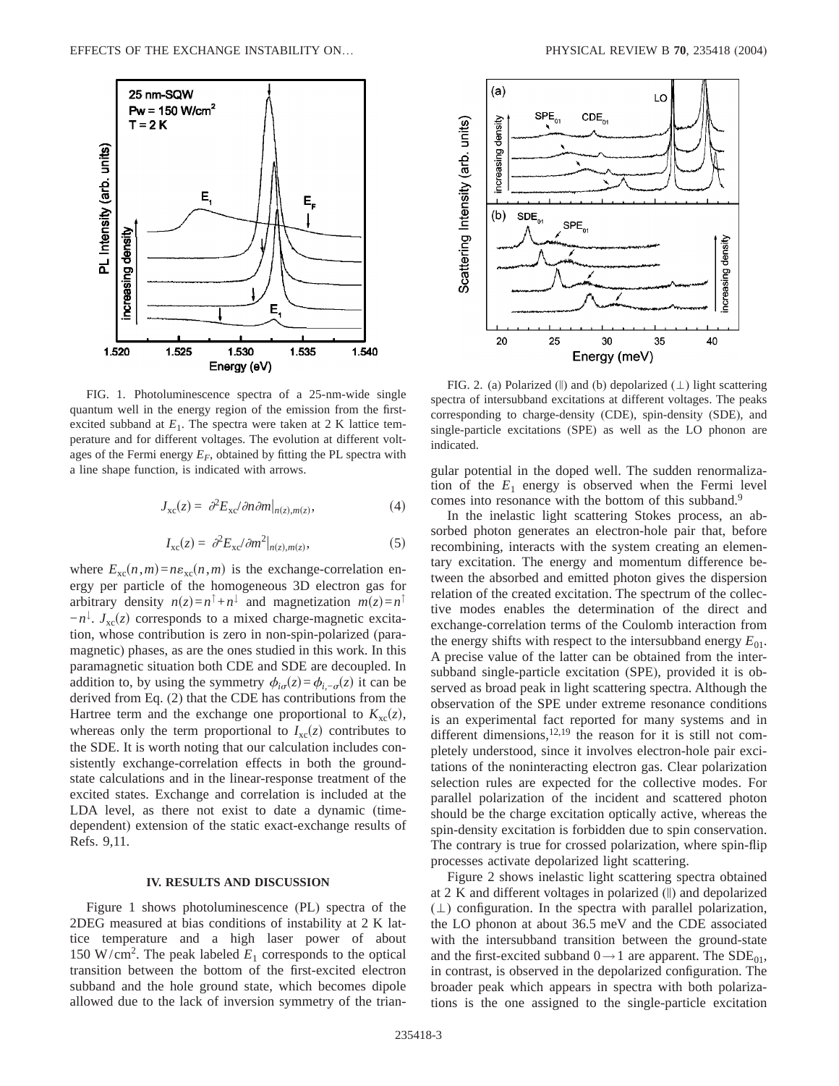

FIG. 1. Photoluminescence spectra of a 25-nm-wide single quantum well in the energy region of the emission from the firstexcited subband at  $E_1$ . The spectra were taken at 2 K lattice temperature and for different voltages. The evolution at different voltages of the Fermi energy  $E_F$ , obtained by fitting the PL spectra with a line shape function, is indicated with arrows.

$$
J_{\rm xc}(z) = \partial^2 E_{\rm xc} / \partial n \partial m|_{n(z), m(z)}, \tag{4}
$$

$$
I_{\rm xc}(z) = \partial^2 E_{\rm xc} / \partial m^2 |_{n(z), m(z)}, \tag{5}
$$

where  $E_{\text{xc}}(n,m) = n\varepsilon_{\text{xc}}(n,m)$  is the exchange-correlation energy per particle of the homogeneous 3D electron gas for arbitrary density  $n(z)=n^{\uparrow}+n^{\downarrow}$  and magnetization  $m(z)=n^{\uparrow}$  $-n^{\downarrow}$ . *J*<sub>xc</sub>(*z*) corresponds to a mixed charge-magnetic excitation, whose contribution is zero in non-spin-polarized (paramagnetic) phases, as are the ones studied in this work. In this paramagnetic situation both CDE and SDE are decoupled. In addition to, by using the symmetry  $\phi_{i\sigma}(z) = \phi_{i,-\sigma}(z)$  it can be derived from Eq. (2) that the CDE has contributions from the Hartree term and the exchange one proportional to  $K_{\text{xc}}(z)$ , whereas only the term proportional to  $I_{\text{xc}}(z)$  contributes to the SDE. It is worth noting that our calculation includes consistently exchange-correlation effects in both the groundstate calculations and in the linear-response treatment of the excited states. Exchange and correlation is included at the LDA level, as there not exist to date a dynamic (timedependent) extension of the static exact-exchange results of Refs. 9,11.

## **IV. RESULTS AND DISCUSSION**

Figure 1 shows photoluminescence (PL) spectra of the 2DEG measured at bias conditions of instability at 2 K lattice temperature and a high laser power of about 150 W/cm<sup>2</sup>. The peak labeled  $E_1$  corresponds to the optical transition between the bottom of the first-excited electron subband and the hole ground state, which becomes dipole allowed due to the lack of inversion symmetry of the trian-



FIG. 2. (a) Polarized (||) and (b) depolarized  $(\perp)$  light scattering spectra of intersubband excitations at different voltages. The peaks corresponding to charge-density (CDE), spin-density (SDE), and single-particle excitations (SPE) as well as the LO phonon are indicated.

gular potential in the doped well. The sudden renormalization of the  $E_1$  energy is observed when the Fermi level comes into resonance with the bottom of this subband.<sup>9</sup>

In the inelastic light scattering Stokes process, an absorbed photon generates an electron-hole pair that, before recombining, interacts with the system creating an elementary excitation. The energy and momentum difference between the absorbed and emitted photon gives the dispersion relation of the created excitation. The spectrum of the collective modes enables the determination of the direct and exchange-correlation terms of the Coulomb interaction from the energy shifts with respect to the intersubband energy  $E_{01}$ . A precise value of the latter can be obtained from the intersubband single-particle excitation (SPE), provided it is observed as broad peak in light scattering spectra. Although the observation of the SPE under extreme resonance conditions is an experimental fact reported for many systems and in different dimensions,  $12,19$  the reason for it is still not completely understood, since it involves electron-hole pair excitations of the noninteracting electron gas. Clear polarization selection rules are expected for the collective modes. For parallel polarization of the incident and scattered photon should be the charge excitation optically active, whereas the spin-density excitation is forbidden due to spin conservation. The contrary is true for crossed polarization, where spin-flip processes activate depolarized light scattering.

Figure 2 shows inelastic light scattering spectra obtained at 2 K and different voltages in polarized (i) and depolarized  $(\perp)$  configuration. In the spectra with parallel polarization, the LO phonon at about 36.5 meV and the CDE associated with the intersubband transition between the ground-state and the first-excited subband  $0 \rightarrow 1$  are apparent. The SDE<sub>01</sub>, in contrast, is observed in the depolarized configuration. The broader peak which appears in spectra with both polarizations is the one assigned to the single-particle excitation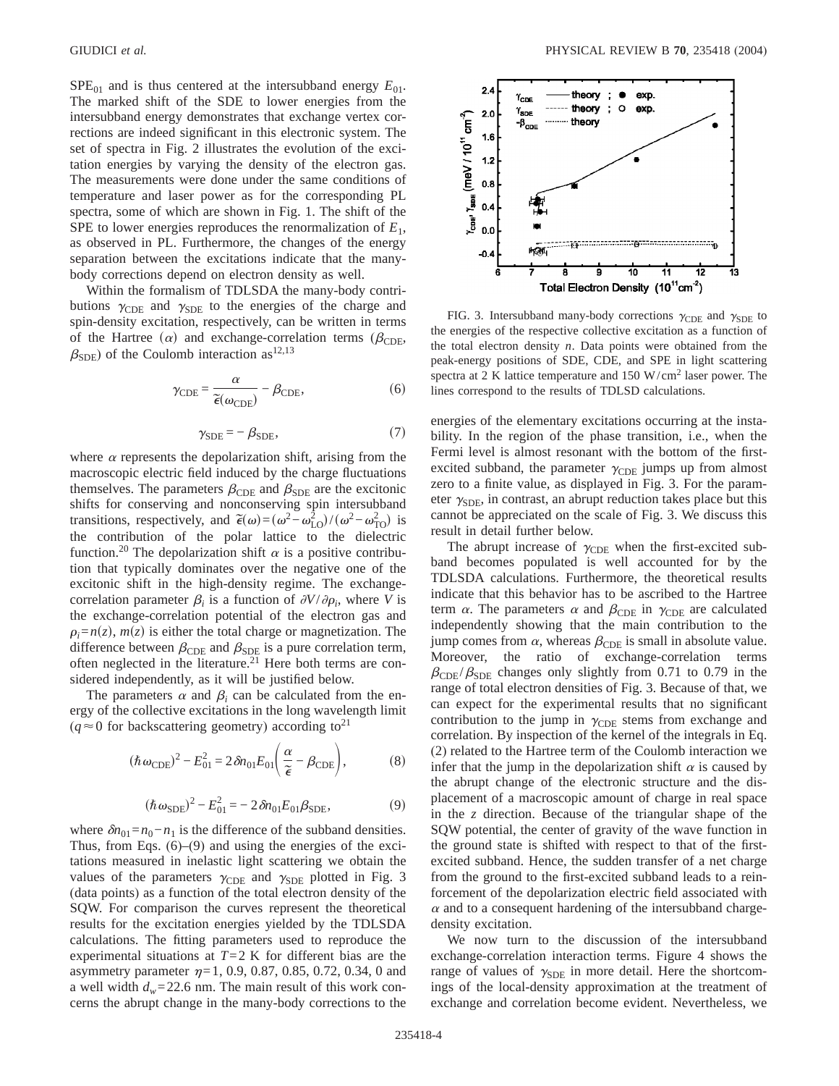$SPE<sub>01</sub>$  and is thus centered at the intersubband energy  $E<sub>01</sub>$ . The marked shift of the SDE to lower energies from the intersubband energy demonstrates that exchange vertex corrections are indeed significant in this electronic system. The set of spectra in Fig. 2 illustrates the evolution of the excitation energies by varying the density of the electron gas. The measurements were done under the same conditions of temperature and laser power as for the corresponding PL spectra, some of which are shown in Fig. 1. The shift of the SPE to lower energies reproduces the renormalization of *E*1, as observed in PL. Furthermore, the changes of the energy separation between the excitations indicate that the manybody corrections depend on electron density as well.

Within the formalism of TDLSDA the many-body contributions  $\gamma_{\text{CDE}}$  and  $\gamma_{\text{SDE}}$  to the energies of the charge and spin-density excitation, respectively, can be written in terms of the Hartree ( $\alpha$ ) and exchange-correlation terms ( $\beta_{\text{CDE}}$ ,  $\beta_{SDF}$ ) of the Coulomb interaction as<sup>12,13</sup>

$$
\gamma_{\rm CDE} = \frac{\alpha}{\tilde{\epsilon}(\omega_{\rm CDE})} - \beta_{\rm CDE},\tag{6}
$$

$$
\gamma_{\rm SDE} = -\beta_{\rm SDE},\tag{7}
$$

where  $\alpha$  represents the depolarization shift, arising from the macroscopic electric field induced by the charge fluctuations themselves. The parameters  $\beta_{\text{CDE}}$  and  $\beta_{\text{SDE}}$  are the excitonic shifts for conserving and nonconserving spin intersubband transitions, respectively, and  $\tilde{\epsilon}(\omega) = (\omega^2 - \omega_{\text{LO}}^2)/(\omega^2 - \omega_{\text{TO}}^2)$  is the contribution of the polar lattice to the dielectric function.<sup>20</sup> The depolarization shift  $\alpha$  is a positive contribution that typically dominates over the negative one of the excitonic shift in the high-density regime. The exchangecorrelation parameter  $\beta_i$  is a function of  $\partial V/\partial \rho_i$ , where *V* is the exchange-correlation potential of the electron gas and  $\rho_i = n(z)$ ,  $m(z)$  is either the total charge or magnetization. The difference between  $\beta_{\text{CDE}}$  and  $\beta_{\text{SDE}}$  is a pure correlation term, often neglected in the literature.<sup>21</sup> Here both terms are considered independently, as it will be justified below.

The parameters  $\alpha$  and  $\beta$ <sub>*i*</sub> can be calculated from the energy of the collective excitations in the long wavelength limit  $(q \approx 0$  for backscattering geometry) according to<sup>21</sup>

$$
(\hbar \omega_{\rm CDE})^2 - E_{01}^2 = 2 \delta n_{01} E_{01} \left( \frac{\alpha}{\tilde{\epsilon}} - \beta_{\rm CDE} \right),\tag{8}
$$

$$
(\hbar \omega_{\rm SDE})^2 - E_{01}^2 = -2\delta n_{01} E_{01} \beta_{\rm SDE},\tag{9}
$$

where  $\delta n_{01} = n_0 - n_1$  is the difference of the subband densities. Thus, from Eqs. (6)–(9) and using the energies of the excitations measured in inelastic light scattering we obtain the values of the parameters  $\gamma_{\text{CDE}}$  and  $\gamma_{\text{SDE}}$  plotted in Fig. 3 (data points) as a function of the total electron density of the SQW. For comparison the curves represent the theoretical results for the excitation energies yielded by the TDLSDA calculations. The fitting parameters used to reproduce the experimental situations at  $T=2$  K for different bias are the asymmetry parameter  $\eta=1, 0.9, 0.87, 0.85, 0.72, 0.34, 0$  and a well width  $d_w = 22.6$  nm. The main result of this work concerns the abrupt change in the many-body corrections to the



FIG. 3. Intersubband many-body corrections  $\gamma_{\text{CDE}}$  and  $\gamma_{\text{SDE}}$  to the energies of the respective collective excitation as a function of the total electron density *n*. Data points were obtained from the peak-energy positions of SDE, CDE, and SPE in light scattering spectra at 2 K lattice temperature and  $150 \text{ W/cm}^2$  laser power. The lines correspond to the results of TDLSD calculations.

energies of the elementary excitations occurring at the instability. In the region of the phase transition, i.e., when the Fermi level is almost resonant with the bottom of the firstexcited subband, the parameter  $\gamma_{\text{CDE}}$  jumps up from almost zero to a finite value, as displayed in Fig. 3. For the parameter  $\gamma_{SDE}$ , in contrast, an abrupt reduction takes place but this cannot be appreciated on the scale of Fig. 3. We discuss this result in detail further below.

The abrupt increase of  $\gamma_{\text{CDE}}$  when the first-excited subband becomes populated is well accounted for by the TDLSDA calculations. Furthermore, the theoretical results indicate that this behavior has to be ascribed to the Hartree term  $\alpha$ . The parameters  $\alpha$  and  $\beta_{\text{CDE}}$  in  $\gamma_{\text{CDE}}$  are calculated independently showing that the main contribution to the jump comes from  $\alpha$ , whereas  $\beta_{\text{CDE}}$  is small in absolute value. Moreover, the ratio of exchange-correlation terms  $\beta_{\text{CDE}}/\beta_{\text{SDE}}$  changes only slightly from 0.71 to 0.79 in the range of total electron densities of Fig. 3. Because of that, we can expect for the experimental results that no significant contribution to the jump in  $\gamma_{\text{CDE}}$  stems from exchange and correlation. By inspection of the kernel of the integrals in Eq. (2) related to the Hartree term of the Coulomb interaction we infer that the jump in the depolarization shift  $\alpha$  is caused by the abrupt change of the electronic structure and the displacement of a macroscopic amount of charge in real space in the *z* direction. Because of the triangular shape of the SQW potential, the center of gravity of the wave function in the ground state is shifted with respect to that of the firstexcited subband. Hence, the sudden transfer of a net charge from the ground to the first-excited subband leads to a reinforcement of the depolarization electric field associated with  $\alpha$  and to a consequent hardening of the intersubband chargedensity excitation.

We now turn to the discussion of the intersubband exchange-correlation interaction terms. Figure 4 shows the range of values of  $\gamma_{SDE}$  in more detail. Here the shortcomings of the local-density approximation at the treatment of exchange and correlation become evident. Nevertheless, we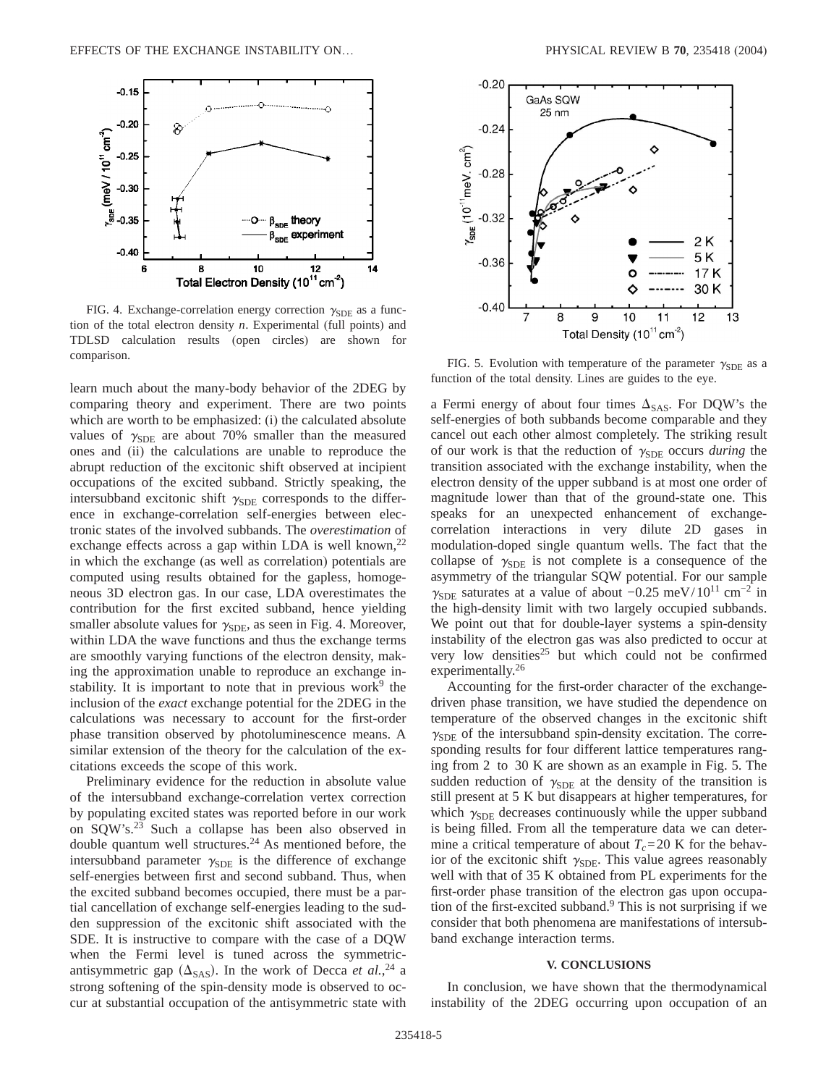

FIG. 4. Exchange-correlation energy correction  $\gamma_{SDE}$  as a function of the total electron density *n*. Experimental (full points) and TDLSD calculation results (open circles) are shown for comparison.<br>FIG. 5. Evolution with temperature of the parameter  $\gamma_{\text{SDE}}$  as a

learn much about the many-body behavior of the 2DEG by comparing theory and experiment. There are two points which are worth to be emphasized: (i) the calculated absolute values of  $\gamma_{SDE}$  are about 70% smaller than the measured ones and (ii) the calculations are unable to reproduce the abrupt reduction of the excitonic shift observed at incipient occupations of the excited subband. Strictly speaking, the intersubband excitonic shift  $\gamma_{SDE}$  corresponds to the difference in exchange-correlation self-energies between electronic states of the involved subbands. The *overestimation* of exchange effects across a gap within LDA is well known,  $^{22}$ in which the exchange (as well as correlation) potentials are computed using results obtained for the gapless, homogeneous 3D electron gas. In our case, LDA overestimates the contribution for the first excited subband, hence yielding smaller absolute values for  $\gamma_{SDE}$ , as seen in Fig. 4. Moreover, within LDA the wave functions and thus the exchange terms are smoothly varying functions of the electron density, making the approximation unable to reproduce an exchange instability. It is important to note that in previous work<sup>9</sup> the inclusion of the *exact* exchange potential for the 2DEG in the calculations was necessary to account for the first-order phase transition observed by photoluminescence means. A similar extension of the theory for the calculation of the excitations exceeds the scope of this work.

Preliminary evidence for the reduction in absolute value of the intersubband exchange-correlation vertex correction by populating excited states was reported before in our work on SQW's.23 Such a collapse has been also observed in double quantum well structures.<sup>24</sup> As mentioned before, the intersubband parameter  $\gamma_{SDE}$  is the difference of exchange self-energies between first and second subband. Thus, when the excited subband becomes occupied, there must be a partial cancellation of exchange self-energies leading to the sudden suppression of the excitonic shift associated with the SDE. It is instructive to compare with the case of a DQW when the Fermi level is tuned across the symmetricantisymmetric gap  $(\Delta_{SAS})$ . In the work of Decca *et al.*,<sup>24</sup> a strong softening of the spin-density mode is observed to occur at substantial occupation of the antisymmetric state with



function of the total density. Lines are guides to the eye.

a Fermi energy of about four times  $\Delta_{SAS}$ . For DQW's the self-energies of both subbands become comparable and they cancel out each other almost completely. The striking result of our work is that the reduction of  $\gamma_{SDE}$  occurs *during* the transition associated with the exchange instability, when the electron density of the upper subband is at most one order of magnitude lower than that of the ground-state one. This speaks for an unexpected enhancement of exchangecorrelation interactions in very dilute 2D gases in modulation-doped single quantum wells. The fact that the collapse of  $\gamma_{SDE}$  is not complete is a consequence of the asymmetry of the triangular SQW potential. For our sample  $\gamma_{SDE}$  saturates at a value of about -0.25 meV/10<sup>11</sup> cm<sup>-2</sup> in the high-density limit with two largely occupied subbands. We point out that for double-layer systems a spin-density instability of the electron gas was also predicted to occur at very low densities<sup>25</sup> but which could not be confirmed experimentally.<sup>26</sup>

Accounting for the first-order character of the exchangedriven phase transition, we have studied the dependence on temperature of the observed changes in the excitonic shift  $\gamma_{SDE}$  of the intersubband spin-density excitation. The corresponding results for four different lattice temperatures ranging from 2 to 30 K are shown as an example in Fig. 5. The sudden reduction of  $\gamma_{SDE}$  at the density of the transition is still present at 5 K but disappears at higher temperatures, for which  $\gamma_{SDE}$  decreases continuously while the upper subband is being filled. From all the temperature data we can determine a critical temperature of about  $T_c = 20$  K for the behavior of the excitonic shift  $\gamma_{SDE}$ . This value agrees reasonably well with that of 35 K obtained from PL experiments for the first-order phase transition of the electron gas upon occupation of the first-excited subband.9 This is not surprising if we consider that both phenomena are manifestations of intersubband exchange interaction terms.

#### **V. CONCLUSIONS**

In conclusion, we have shown that the thermodynamical instability of the 2DEG occurring upon occupation of an